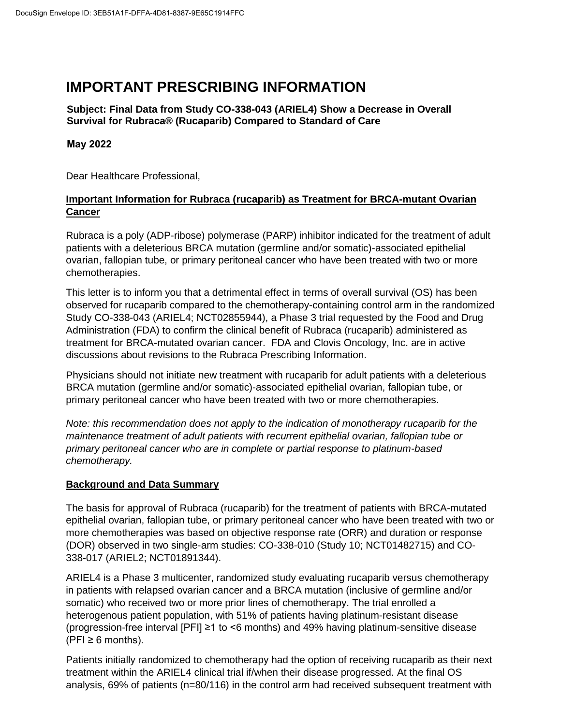# **IMPORTANT PRESCRIBING INFORMATION**

**Subject: Final Data from Study CO-338-043 (ARIEL4) Show a Decrease in Overall Survival for Rubraca® (Rucaparib) Compared to Standard of Care**

## **May 2022**

Dear Healthcare Professional,

## **Important Information for Rubraca (rucaparib) as Treatment for BRCA-mutant Ovarian Cancer**

Rubraca is a poly (ADP-ribose) polymerase (PARP) inhibitor indicated for the treatment of adult patients with a deleterious BRCA mutation (germline and/or somatic)-associated epithelial ovarian, fallopian tube, or primary peritoneal cancer who have been treated with two or more chemotherapies.

This letter is to inform you that a detrimental effect in terms of overall survival (OS) has been observed for rucaparib compared to the chemotherapy-containing control arm in the randomized Study CO-338-043 (ARIEL4; NCT02855944), a Phase 3 trial requested by the Food and Drug Administration (FDA) to confirm the clinical benefit of Rubraca (rucaparib) administered as treatment for BRCA-mutated ovarian cancer. FDA and Clovis Oncology, Inc. are in active discussions about revisions to the Rubraca Prescribing Information.

Physicians should not initiate new treatment with rucaparib for adult patients with a deleterious BRCA mutation (germline and/or somatic)-associated epithelial ovarian, fallopian tube, or primary peritoneal cancer who have been treated with two or more chemotherapies.

*Note: this recommendation does not apply to the indication of monotherapy rucaparib for the maintenance treatment of adult patients with recurrent epithelial ovarian, fallopian tube or primary peritoneal cancer who are in complete or partial response to platinum-based chemotherapy.*

### **Background and Data Summary**

The basis for approval of Rubraca (rucaparib) for the treatment of patients with BRCA-mutated epithelial ovarian, fallopian tube, or primary peritoneal cancer who have been treated with two or more chemotherapies was based on objective response rate (ORR) and duration or response (DOR) observed in two single-arm studies: CO-338-010 (Study 10; NCT01482715) and CO-338-017 (ARIEL2; NCT01891344).

ARIEL4 is a Phase 3 multicenter, randomized study evaluating rucaparib versus chemotherapy in patients with relapsed ovarian cancer and a BRCA mutation (inclusive of germline and/or somatic) who received two or more prior lines of chemotherapy. The trial enrolled a heterogenous patient population, with 51% of patients having platinum-resistant disease (progression-free interval [PFI] ≥1 to <6 months) and 49% having platinum-sensitive disease  $(PFI \geq 6$  months).

Patients initially randomized to chemotherapy had the option of receiving rucaparib as their next treatment within the ARIEL4 clinical trial if/when their disease progressed. At the final OS analysis, 69% of patients (n=80/116) in the control arm had received subsequent treatment with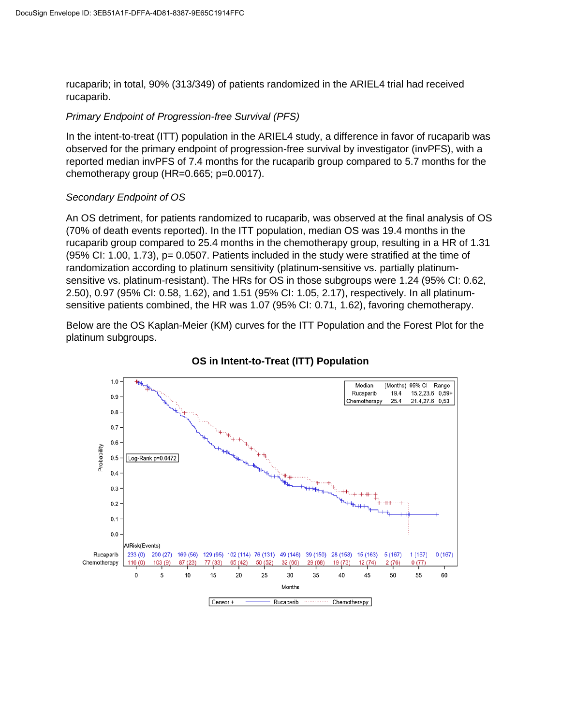rucaparib; in total, 90% (313/349) of patients randomized in the ARIEL4 trial had received rucaparib.

#### *Primary Endpoint of Progression-free Survival (PFS)*

In the intent-to-treat (ITT) population in the ARIEL4 study, a difference in favor of rucaparib was observed for the primary endpoint of progression-free survival by investigator (invPFS), with a reported median invPFS of 7.4 months for the rucaparib group compared to 5.7 months for the chemotherapy group (HR=0.665; p=0.0017).

### *Secondary Endpoint of OS*

An OS detriment, for patients randomized to rucaparib, was observed at the final analysis of OS (70% of death events reported). In the ITT population, median OS was 19.4 months in the rucaparib group compared to 25.4 months in the chemotherapy group, resulting in a HR of 1.31 (95% CI: 1.00, 1.73), p= 0.0507. Patients included in the study were stratified at the time of randomization according to platinum sensitivity (platinum-sensitive vs. partially platinumsensitive vs. platinum-resistant). The HRs for OS in those subgroups were 1.24 (95% CI: 0.62, 2.50), 0.97 (95% CI: 0.58, 1.62), and 1.51 (95% CI: 1.05, 2.17), respectively. In all platinumsensitive patients combined, the HR was 1.07 (95% CI: 0.71, 1.62), favoring chemotherapy.

Below are the OS Kaplan-Meier (KM) curves for the ITT Population and the Forest Plot for the platinum subgroups.



## **OS in Intent-to-Treat (ITT) Population**